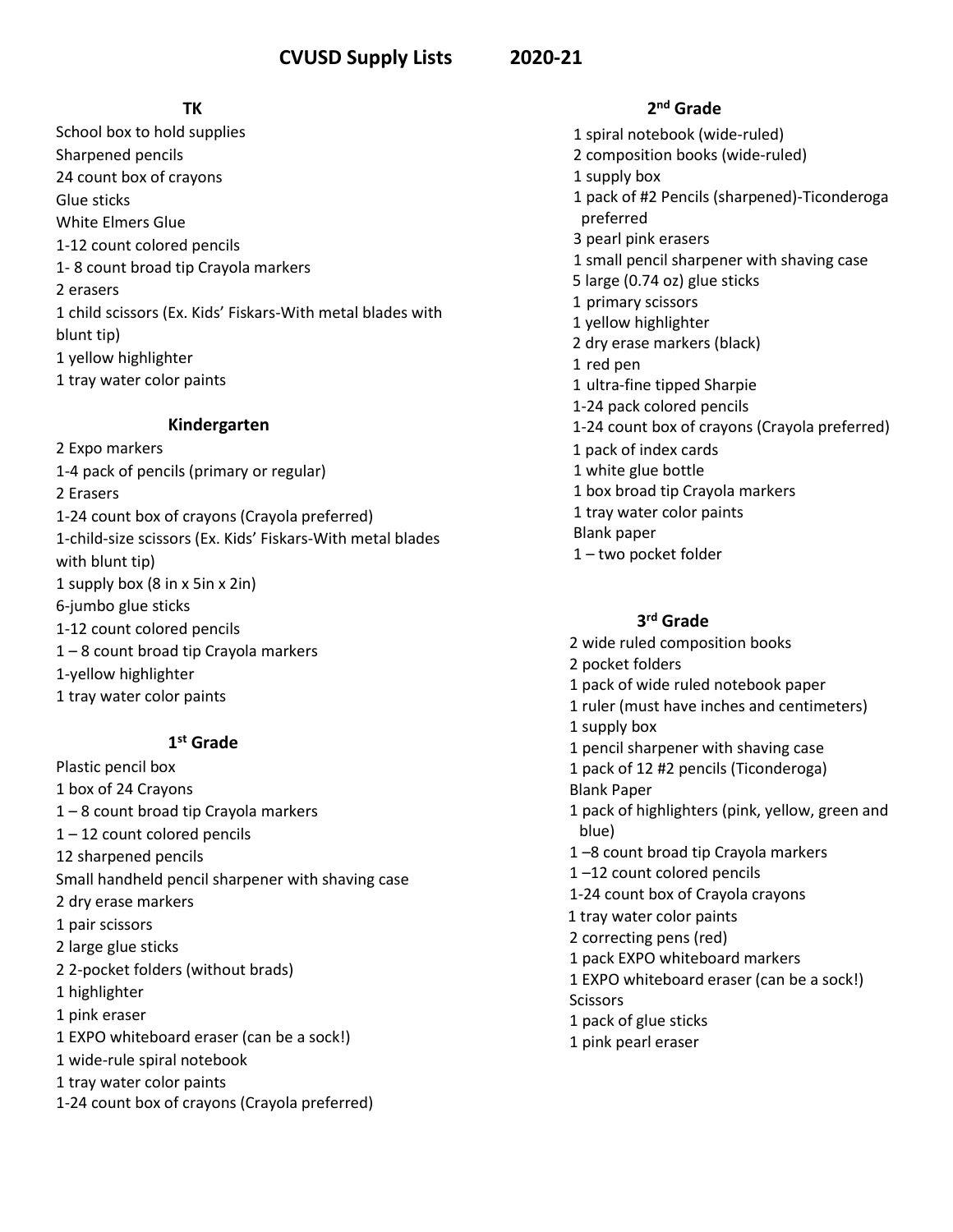### *TK*

School box to hold supplies Sharpened pencils 24 count box of crayons Glue sticks White Elmers Glue 1-12 count colored pencils 1- 8 count broad tip Crayola markers 2 erasers 1 child scissors (Ex. Kids' Fiskars-With metal blades with blunt tip) 1 yellow highlighter 1 tray water color paints

#### **Kindergarten**

2 Expo markers 1-4 pack of pencils (primary or regular) 2 Erasers 1-24 count box of crayons (Crayola preferred) 1-child-size scissors (Ex. Kids' Fiskars-With metal blades with blunt tip) 1 supply box (8 in x 5in x 2in) 6-jumbo glue sticks 1-12 count colored pencils 1 – 8 count broad tip Crayola markers 1-yellow highlighter 1 tray water color paints

#### **1 st Grade**

Plastic pencil box 1 box of 24 Crayons 1 – 8 count broad tip Crayola markers 1 – 12 count colored pencils 12 sharpened pencils Small handheld pencil sharpener with shaving case 2 dry erase markers 1 pair scissors 2 large glue sticks 2 2-pocket folders (without brads) 1 highlighter 1 pink eraser 1 EXPO whiteboard eraser (can be a sock!) 1 wide-rule spiral notebook 1 tray water color paints 1-24 count box of crayons (Crayola preferred)

 **2 nd Grade** 1 spiral notebook (wide-ruled) 2 composition books (wide-ruled) 1 supply box 1 pack of #2 Pencils (sharpened)-Ticonderoga preferred 3 pearl pink erasers 1 small pencil sharpener with shaving case 5 large (0.74 oz) glue sticks 1 primary scissors 1 yellow highlighter 2 dry erase markers (black) 1 red pen 1 ultra-fine tipped Sharpie 1-24 pack colored pencils 1-24 count box of crayons (Crayola preferred) 1 pack of index cards 1 white glue bottle 1 box broad tip Crayola markers 1 tray water color paints Blank paper 1 – two pocket folder

## **3 rd Grade**

2 wide ruled composition books 2 pocket folders 1 pack of wide ruled notebook paper 1 ruler (must have inches and centimeters) 1 supply box 1 pencil sharpener with shaving case 1 pack of 12 #2 pencils (Ticonderoga) Blank Paper 1 pack of highlighters (pink, yellow, green and blue) 1 –8 count broad tip Crayola markers 1 –12 count colored pencils 1-24 count box of Crayola crayons 1 tray water color paints 2 correcting pens (red) 1 pack EXPO whiteboard markers 1 EXPO whiteboard eraser (can be a sock!) **Scissors** 1 pack of glue sticks 1 pink pearl eraser